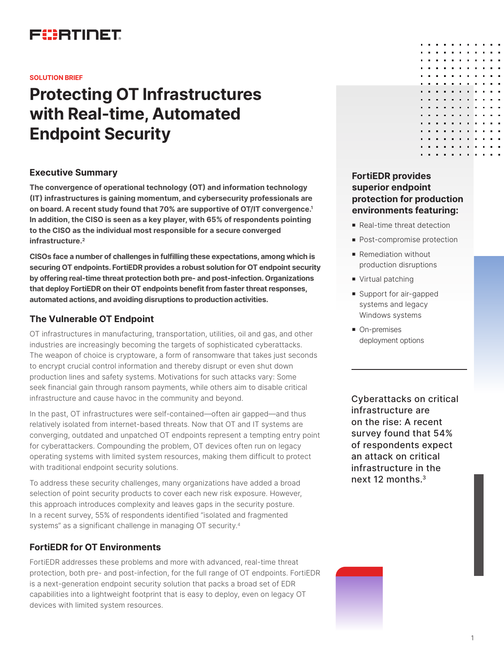## FURTIDET

#### **SOLUTION BRIEF**

# **Protecting OT Infrastructures with Real-time, Automated Endpoint Security**

### **Executive Summary**

**The convergence of operational technology (OT) and information technology (IT) infrastructures is gaining momentum, and cybersecurity professionals are on board. A recent study found that 70% are supportive of OT/IT convergence.1 In addition, the CISO is seen as a key player, with 65% of respondents pointing to the CISO as the individual most responsible for a secure converged infrastructure.2**

**CISOs face a number of challenges in fulfilling these expectations, among which is securing OT endpoints. FortiEDR provides a robust solution for OT endpoint security by offering real-time threat protection both pre- and post-infection. Organizations that deploy FortiEDR on their OT endpoints benefit from faster threat responses, automated actions, and avoiding disruptions to production activities.** 

## **The Vulnerable OT Endpoint**

OT infrastructures in manufacturing, transportation, utilities, oil and gas, and other industries are increasingly becoming the targets of sophisticated cyberattacks. The weapon of choice is cryptoware, a form of ransomware that takes just seconds to encrypt crucial control information and thereby disrupt or even shut down production lines and safety systems. Motivations for such attacks vary: Some seek financial gain through ransom payments, while others aim to disable critical infrastructure and cause havoc in the community and beyond.

In the past, OT infrastructures were self-contained—often air gapped—and thus relatively isolated from internet-based threats. Now that OT and IT systems are converging, outdated and unpatched OT endpoints represent a tempting entry point for cyberattackers. Compounding the problem, OT devices often run on legacy operating systems with limited system resources, making them difficult to protect with traditional endpoint security solutions.

To address these security challenges, many organizations have added a broad selection of point security products to cover each new risk exposure. However, this approach introduces complexity and leaves gaps in the security posture. In a recent survey, 55% of respondents identified "isolated and fragmented systems" as a significant challenge in managing OT security.<sup>4</sup>

## **FortiEDR for OT Environments**

FortiEDR addresses these problems and more with advanced, real-time threat protection, both pre- and post-infection, for the full range of OT endpoints. FortiEDR is a next-generation endpoint security solution that packs a broad set of EDR capabilities into a lightweight footprint that is easy to deploy, even on legacy OT devices with limited system resources.

## **FortiEDR provides superior endpoint protection for production environments featuring:**

- **Real-time threat detection**
- Post-compromise protection
- **Remediation without** production disruptions
- Virtual patching
- **s** Support for air-gapped systems and legacy Windows systems
- **n** On-premises deployment options

Cyberattacks on critical infrastructure are on the rise: A recent survey found that 54% of respondents expect an attack on critical infrastructure in the next 12 months.3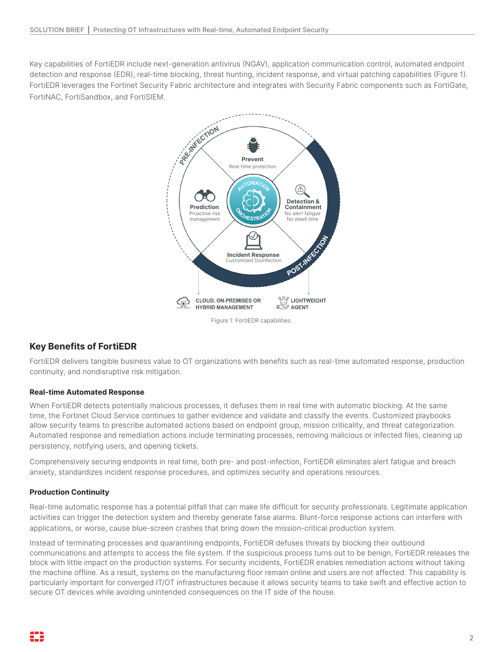Key capabilities of FortiEDR include next-generation antivirus (NGAV), application communication control, automated endpoint detection and response (EDR), real-time blocking, threat hunting, incident response, and virtual patching capabilities (Figure 1). FortiEDR leverages the Fortinet Security Fabric architecture and integrates with Security Fabric components such as FortiGate, FortiNAC, FortiSandbox, and FortiSIEM.



Figure 1: FortiEDR capabilities.

## **Key Benefits of FortiEDR**

FortiEDR delivers tangible business value to OT organizations with benefits such as real-time automated response, production continuity, and nondisruptive risk mitigation.

#### **Real-time Automated Response**

When FortiEDR detects potentially malicious processes, it defuses them in real time with automatic blocking. At the same time, the Fortinet Cloud Service continues to gather evidence and validate and classify the events. Customized playbooks allow security teams to prescribe automated actions based on endpoint group, mission criticality, and threat categorization. Automated response and remediation actions include terminating processes, removing malicious or infected files, cleaning up persistency, notifying users, and opening tickets.

Comprehensively securing endpoints in real time, both pre- and post-infection, FortiEDR eliminates alert fatigue and breach anxiety, standardizes incident response procedures, and optimizes security and operations resources.

#### **Production Continuity**

Real-time automatic response has a potential pitfall that can make life difficult for security professionals. Legitimate application activities can trigger the detection system and thereby generate false alarms. Blunt-force response actions can interfere with applications, or worse, cause blue-screen crashes that bring down the mission-critical production system.

Instead of terminating processes and quarantining endpoints, FortiEDR defuses threats by blocking their outbound communications and attempts to access the file system. If the suspicious process turns out to be benign, FortiEDR releases the block with little impact on the production systems. For security incidents, FortiEDR enables remediation actions without taking the machine offline. As a result, systems on the manufacturing floor remain online and users are not affected. This capability is particularly important for converged IT/OT infrastructures because it allows security teams to take swift and effective action to secure OT devices while avoiding unintended consequences on the IT side of the house.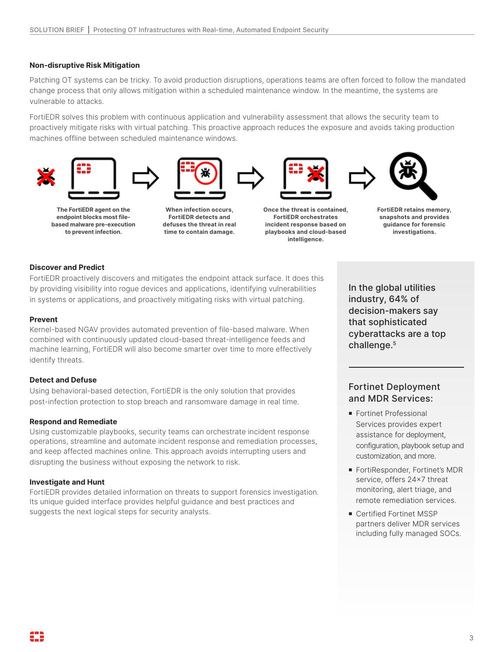#### **Non-disruptive Risk Mitigation**

Patching OT systems can be tricky. To avoid production disruptions, operations teams are often forced to follow the mandated change process that only allows mitigation within a scheduled maintenance window. In the meantime, the systems are vulnerable to attacks.

FortiEDR solves this problem with continuous application and vulnerability assessment that allows the security team to proactively mitigate risks with virtual patching. This proactive approach reduces the exposure and avoids taking production machines offline between scheduled maintenance windows.











**The FortiEDR agent on the endpoint blocks most filebased malware pre-execution to prevent infection.**

**When infection occurs, FortiEDR detects and defuses the threat in real time to contain damage.**

**Once the threat is contained, FortiEDR orchestrates incident response based on playbooks and cloud-based intelligence.**

**FortiEDR retains memory, snapshots and provides guidance for forensic investigations.**

#### **Discover and Predict**

FortiEDR proactively discovers and mitigates the endpoint attack surface. It does this by providing visibility into rogue devices and applications, identifying vulnerabilities in systems or applications, and proactively mitigating risks with virtual patching.

#### **Prevent**

Kernel-based NGAV provides automated prevention of file-based malware. When combined with continuously updated cloud-based threat-intelligence feeds and machine learning, FortiEDR will also become smarter over time to more effectively identify threats.

#### **Detect and Defuse**

Using behavioral-based detection, FortiEDR is the only solution that provides post-infection protection to stop breach and ransomware damage in real time.

#### **Respond and Remediate**

Using customizable playbooks, security teams can orchestrate incident response operations, streamline and automate incident response and remediation processes, and keep affected machines online. This approach avoids interrupting users and disrupting the business without exposing the network to risk.

#### **Investigate and Hunt**

FortiEDR provides detailed information on threats to support forensics investigation. Its unique guided interface provides helpful guidance and best practices and suggests the next logical steps for security analysts.

In the global utilities industry, 64% of decision-makers say that sophisticated cyberattacks are a top challenge.<sup>5</sup>

## Fortinet Deployment and MDR Services:

- **Fortinet Professional** Services provides expert assistance for deployment, configuration, playbook setup and customization, and more.
- FortiResponder, Fortinet's MDR service, offers 24x7 threat monitoring, alert triage, and remote remediation services.
- **Certified Fortinet MSSP** partners deliver MDR services including fully managed SOCs.